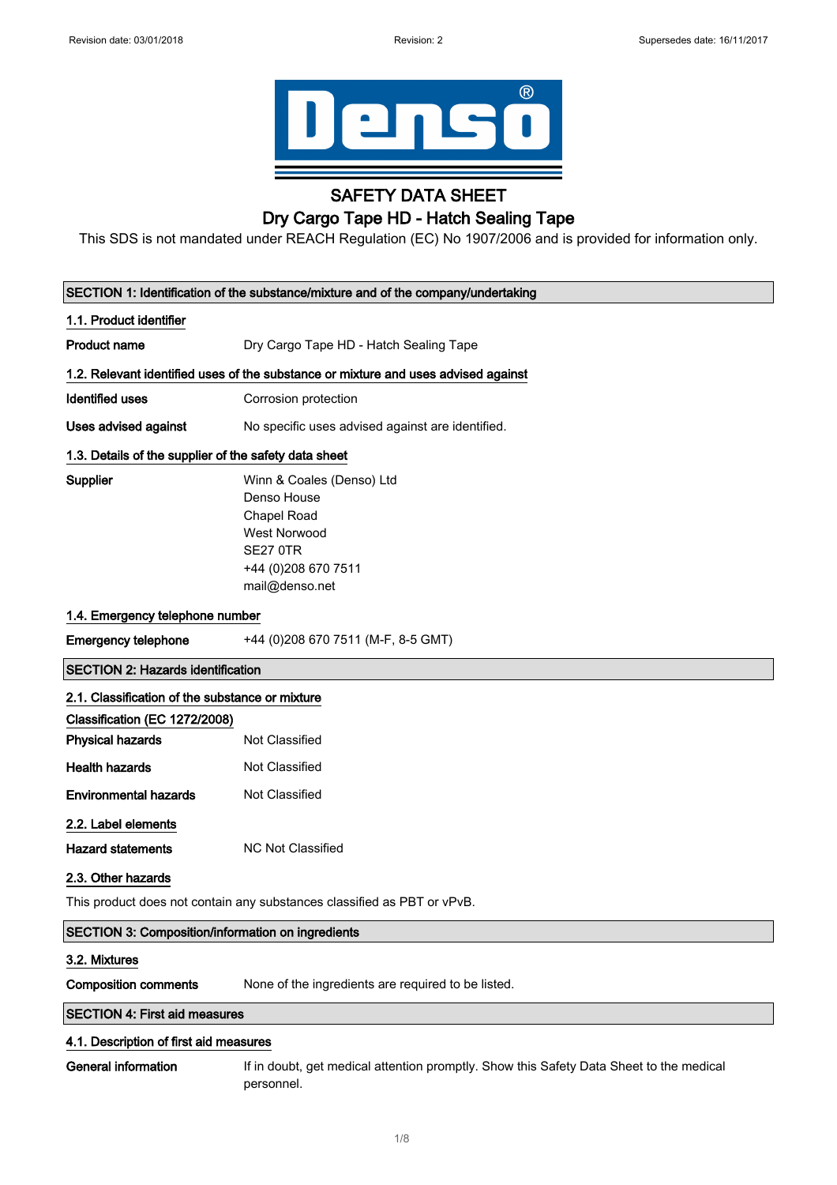

## SAFETY DATA SHEET

## Dry Cargo Tape HD - Hatch Sealing Tape

This SDS is not mandated under REACH Regulation (EC) No 1907/2006 and is provided for information only.

|                                                          | SECTION 1: Identification of the substance/mixture and of the company/undertaking                                                          |  |
|----------------------------------------------------------|--------------------------------------------------------------------------------------------------------------------------------------------|--|
| 1.1. Product identifier                                  |                                                                                                                                            |  |
| <b>Product name</b>                                      | Dry Cargo Tape HD - Hatch Sealing Tape                                                                                                     |  |
|                                                          | 1.2. Relevant identified uses of the substance or mixture and uses advised against                                                         |  |
| <b>Identified uses</b>                                   | Corrosion protection                                                                                                                       |  |
| <b>Uses advised against</b>                              | No specific uses advised against are identified.                                                                                           |  |
| 1.3. Details of the supplier of the safety data sheet    |                                                                                                                                            |  |
| <b>Supplier</b>                                          | Winn & Coales (Denso) Ltd<br>Denso House<br>Chapel Road<br><b>West Norwood</b><br><b>SE27 0TR</b><br>+44 (0)208 670 7511<br>mail@denso.net |  |
| 1.4. Emergency telephone number                          |                                                                                                                                            |  |
| <b>Emergency telephone</b>                               | +44 (0)208 670 7511 (M-F, 8-5 GMT)                                                                                                         |  |
| <b>SECTION 2: Hazards identification</b>                 |                                                                                                                                            |  |
| 2.1. Classification of the substance or mixture          |                                                                                                                                            |  |
| Classification (EC 1272/2008)                            |                                                                                                                                            |  |
| <b>Physical hazards</b>                                  | Not Classified                                                                                                                             |  |
| <b>Health hazards</b>                                    | Not Classified                                                                                                                             |  |
| <b>Environmental hazards</b>                             | Not Classified                                                                                                                             |  |
| 2.2. Label elements<br><b>Hazard statements</b>          | NC Not Classified                                                                                                                          |  |
| 2.3. Other hazards                                       |                                                                                                                                            |  |
|                                                          | This product does not contain any substances classified as PBT or vPvB.                                                                    |  |
| <b>SECTION 3: Composition/information on ingredients</b> |                                                                                                                                            |  |
| 3.2. Mixtures                                            |                                                                                                                                            |  |
| <b>Composition comments</b>                              | None of the ingredients are required to be listed.                                                                                         |  |
| <b>SECTION 4: First aid measures</b>                     |                                                                                                                                            |  |
| 4.1. Description of first aid measures                   |                                                                                                                                            |  |
| <b>General information</b>                               | If in doubt, get medical attention promptly. Show this Safety Data Sheet to the medical<br>personnel.                                      |  |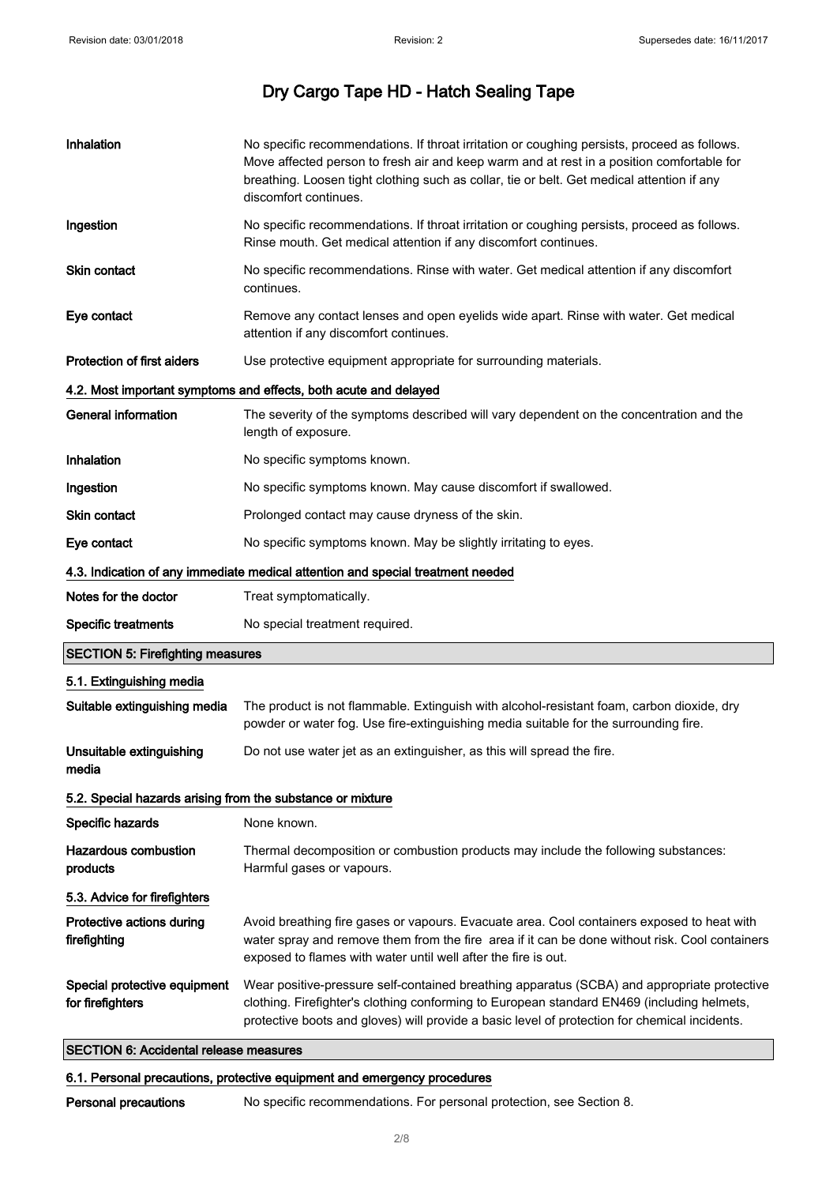| Inhalation                                                 | No specific recommendations. If throat irritation or coughing persists, proceed as follows.<br>Move affected person to fresh air and keep warm and at rest in a position comfortable for<br>breathing. Loosen tight clothing such as collar, tie or belt. Get medical attention if any<br>discomfort continues. |
|------------------------------------------------------------|-----------------------------------------------------------------------------------------------------------------------------------------------------------------------------------------------------------------------------------------------------------------------------------------------------------------|
| Ingestion                                                  | No specific recommendations. If throat irritation or coughing persists, proceed as follows.<br>Rinse mouth. Get medical attention if any discomfort continues.                                                                                                                                                  |
| Skin contact                                               | No specific recommendations. Rinse with water. Get medical attention if any discomfort<br>continues.                                                                                                                                                                                                            |
| Eye contact                                                | Remove any contact lenses and open eyelids wide apart. Rinse with water. Get medical<br>attention if any discomfort continues.                                                                                                                                                                                  |
| Protection of first aiders                                 | Use protective equipment appropriate for surrounding materials.                                                                                                                                                                                                                                                 |
|                                                            | 4.2. Most important symptoms and effects, both acute and delayed                                                                                                                                                                                                                                                |
| <b>General information</b>                                 | The severity of the symptoms described will vary dependent on the concentration and the<br>length of exposure.                                                                                                                                                                                                  |
| Inhalation                                                 | No specific symptoms known.                                                                                                                                                                                                                                                                                     |
| Ingestion                                                  | No specific symptoms known. May cause discomfort if swallowed.                                                                                                                                                                                                                                                  |
| Skin contact                                               | Prolonged contact may cause dryness of the skin.                                                                                                                                                                                                                                                                |
| Eye contact                                                | No specific symptoms known. May be slightly irritating to eyes.                                                                                                                                                                                                                                                 |
|                                                            | 4.3. Indication of any immediate medical attention and special treatment needed                                                                                                                                                                                                                                 |
| Notes for the doctor                                       | Treat symptomatically.                                                                                                                                                                                                                                                                                          |
| <b>Specific treatments</b>                                 | No special treatment required.                                                                                                                                                                                                                                                                                  |
| <b>SECTION 5: Firefighting measures</b>                    |                                                                                                                                                                                                                                                                                                                 |
| 5.1. Extinguishing media                                   |                                                                                                                                                                                                                                                                                                                 |
| Suitable extinguishing media                               | The product is not flammable. Extinguish with alcohol-resistant foam, carbon dioxide, dry<br>powder or water fog. Use fire-extinguishing media suitable for the surrounding fire.                                                                                                                               |
| Unsuitable extinguishing<br>media                          | Do not use water jet as an extinguisher, as this will spread the fire.                                                                                                                                                                                                                                          |
| 5.2. Special hazards arising from the substance or mixture |                                                                                                                                                                                                                                                                                                                 |
| Specific hazards                                           | None known.                                                                                                                                                                                                                                                                                                     |
| <b>Hazardous combustion</b><br>products                    | Thermal decomposition or combustion products may include the following substances:<br>Harmful gases or vapours.                                                                                                                                                                                                 |
| 5.3. Advice for firefighters                               |                                                                                                                                                                                                                                                                                                                 |
| Protective actions during<br>firefighting                  | Avoid breathing fire gases or vapours. Evacuate area. Cool containers exposed to heat with<br>water spray and remove them from the fire area if it can be done without risk. Cool containers<br>exposed to flames with water until well after the fire is out.                                                  |
| Special protective equipment<br>for firefighters           | Wear positive-pressure self-contained breathing apparatus (SCBA) and appropriate protective<br>clothing. Firefighter's clothing conforming to European standard EN469 (including helmets,<br>protective boots and gloves) will provide a basic level of protection for chemical incidents.                      |

### SECTION 6: Accidental release measures

### 6.1. Personal precautions, protective equipment and emergency procedures

Personal precautions No specific recommendations. For personal protection, see Section 8.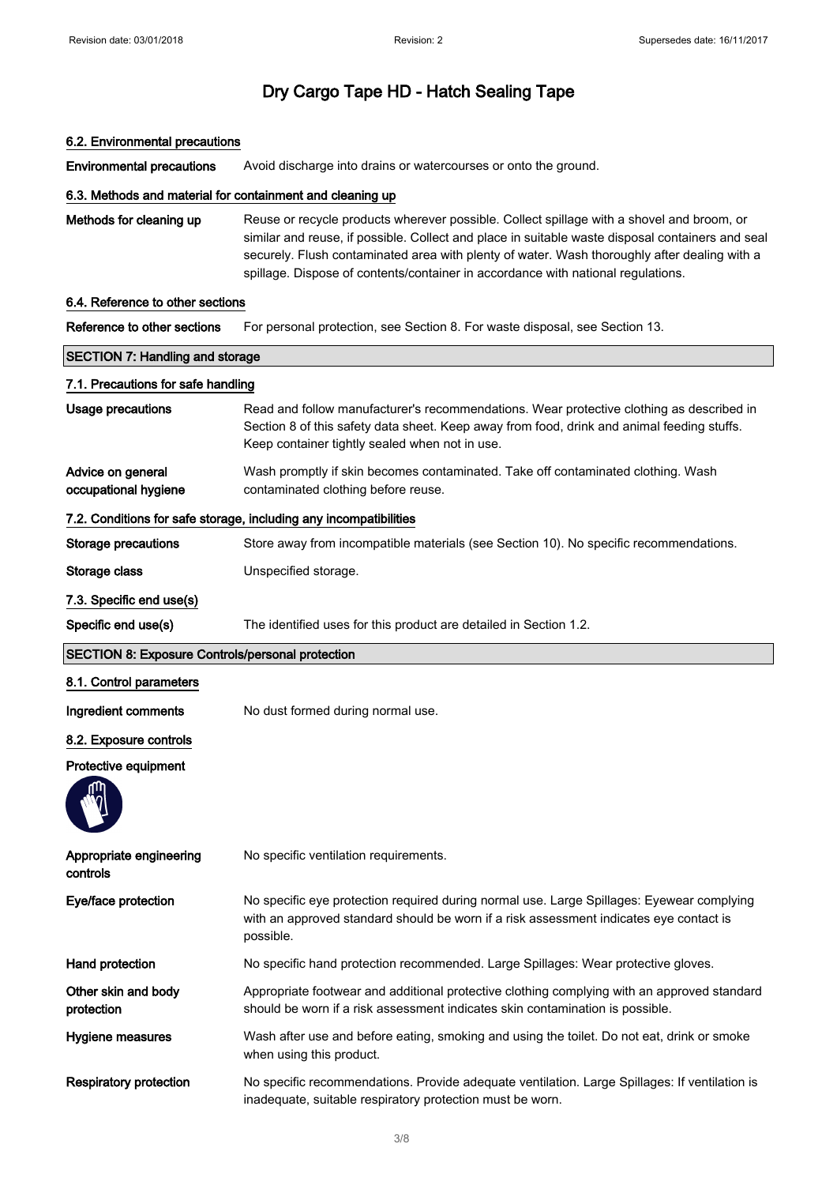#### 6.2. Environmental precautions

Environmental precautions Avoid discharge into drains or watercourses or onto the ground.

#### 6.3. Methods and material for containment and cleaning up

Methods for cleaning up Reuse or recycle products wherever possible. Collect spillage with a shovel and broom, or similar and reuse, if possible. Collect and place in suitable waste disposal containers and seal securely. Flush contaminated area with plenty of water. Wash thoroughly after dealing with a spillage. Dispose of contents/container in accordance with national regulations.

### 6.4. Reference to other sections

| Reference to other sections                             | For personal protection, see Section 8. For waste disposal, see Section 13.                                                                                                                                                              |
|---------------------------------------------------------|------------------------------------------------------------------------------------------------------------------------------------------------------------------------------------------------------------------------------------------|
| <b>SECTION 7: Handling and storage</b>                  |                                                                                                                                                                                                                                          |
| 7.1. Precautions for safe handling                      |                                                                                                                                                                                                                                          |
| <b>Usage precautions</b>                                | Read and follow manufacturer's recommendations. Wear protective clothing as described in<br>Section 8 of this safety data sheet. Keep away from food, drink and animal feeding stuffs.<br>Keep container tightly sealed when not in use. |
| Advice on general<br>occupational hygiene               | Wash promptly if skin becomes contaminated. Take off contaminated clothing. Wash<br>contaminated clothing before reuse.                                                                                                                  |
|                                                         | 7.2. Conditions for safe storage, including any incompatibilities                                                                                                                                                                        |
| Storage precautions                                     | Store away from incompatible materials (see Section 10). No specific recommendations.                                                                                                                                                    |
| Storage class                                           | Unspecified storage.                                                                                                                                                                                                                     |
| 7.3. Specific end use(s)                                |                                                                                                                                                                                                                                          |
| Specific end use(s)                                     | The identified uses for this product are detailed in Section 1.2.                                                                                                                                                                        |
| <b>SECTION 8: Exposure Controls/personal protection</b> |                                                                                                                                                                                                                                          |
| 8.1. Control parameters                                 |                                                                                                                                                                                                                                          |
| Ingredient comments                                     | No dust formed during normal use.                                                                                                                                                                                                        |
| 8.2. Exposure controls                                  |                                                                                                                                                                                                                                          |
| Protective equipment                                    |                                                                                                                                                                                                                                          |
| Appropriate engineering<br>controls                     | No specific ventilation requirements.                                                                                                                                                                                                    |
| Eye/face protection                                     | No specific eye protection required during normal use. Large Spillages: Eyewear complying<br>with an approved standard should be worn if a risk assessment indicates eye contact is<br>possible.                                         |
| Hand protection                                         | No specific hand protection recommended. Large Spillages: Wear protective gloves.                                                                                                                                                        |
| Other skin and body<br>protection                       | Appropriate footwear and additional protective clothing complying with an approved standard<br>should be worn if a risk assessment indicates skin contamination is possible.                                                             |
| Hygiene measures                                        | Wash after use and before eating, smoking and using the toilet. Do not eat, drink or smoke<br>when using this product.                                                                                                                   |
| <b>Respiratory protection</b>                           | No specific recommendations. Provide adequate ventilation. Large Spillages: If ventilation is<br>inadequate, suitable respiratory protection must be worn.                                                                               |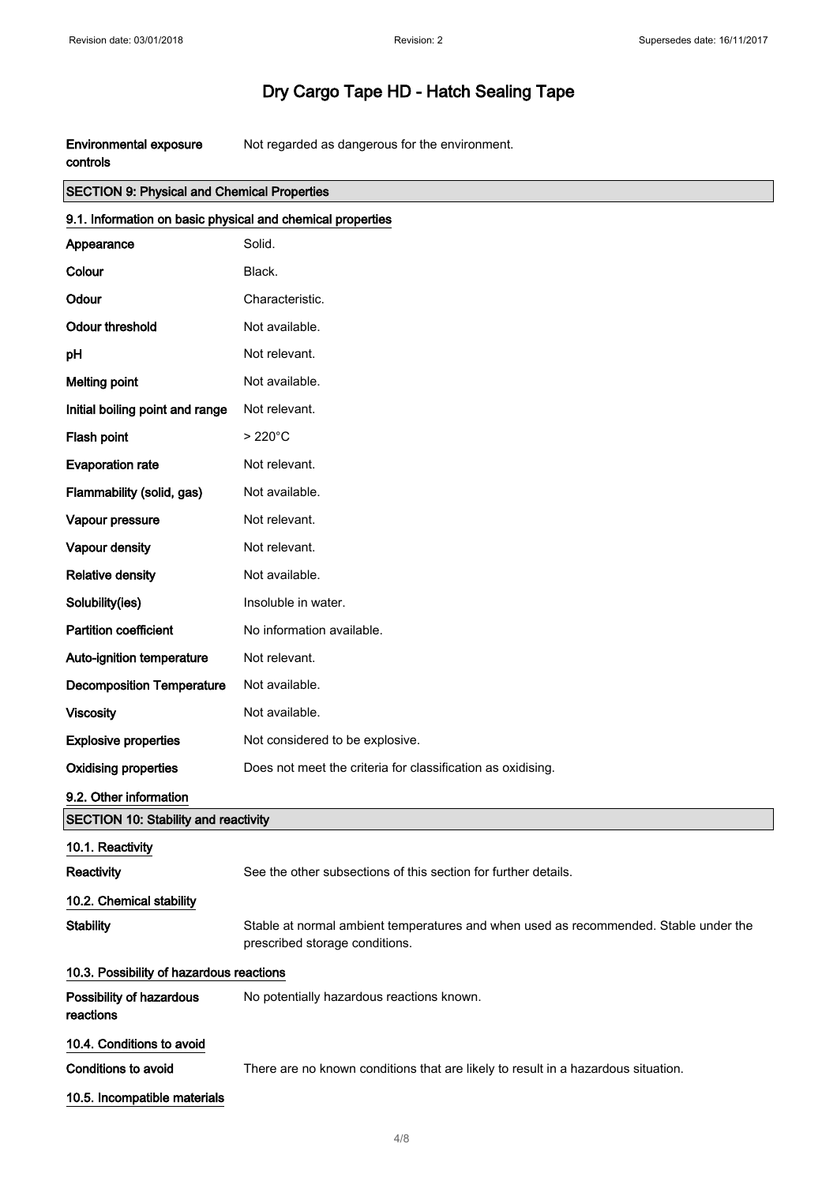$\Bigg]$ 

# Dry Cargo Tape HD - Hatch Sealing Tape

| <b>Environmental exposure</b> | Not regarded as dangerous for the environment. |
|-------------------------------|------------------------------------------------|
| controls                      |                                                |

| <b>SECTION 9: Physical and Chemical Properties</b>         |                                                                                                                        |  |
|------------------------------------------------------------|------------------------------------------------------------------------------------------------------------------------|--|
| 9.1. Information on basic physical and chemical properties |                                                                                                                        |  |
| Appearance                                                 | Solid.                                                                                                                 |  |
| Colour                                                     | Black.                                                                                                                 |  |
| Odour                                                      | Characteristic.                                                                                                        |  |
| <b>Odour threshold</b>                                     | Not available.                                                                                                         |  |
| pH                                                         | Not relevant.                                                                                                          |  |
| <b>Melting point</b>                                       | Not available.                                                                                                         |  |
| Initial boiling point and range                            | Not relevant.                                                                                                          |  |
| Flash point                                                | $>220^{\circ}$ C                                                                                                       |  |
| <b>Evaporation rate</b>                                    | Not relevant.                                                                                                          |  |
| Flammability (solid, gas)                                  | Not available.                                                                                                         |  |
| Vapour pressure                                            | Not relevant.                                                                                                          |  |
| Vapour density                                             | Not relevant.                                                                                                          |  |
| <b>Relative density</b>                                    | Not available.                                                                                                         |  |
| Solubility(ies)                                            | Insoluble in water.                                                                                                    |  |
| <b>Partition coefficient</b>                               | No information available.                                                                                              |  |
| Auto-ignition temperature                                  | Not relevant.                                                                                                          |  |
| <b>Decomposition Temperature</b>                           | Not available.                                                                                                         |  |
| <b>Viscosity</b>                                           | Not available.                                                                                                         |  |
| <b>Explosive properties</b>                                | Not considered to be explosive.                                                                                        |  |
| <b>Oxidising properties</b>                                | Does not meet the criteria for classification as oxidising.                                                            |  |
| 9.2. Other information                                     |                                                                                                                        |  |
| SECTION 10: Stability and reactivity                       |                                                                                                                        |  |
| 10.1. Reactivity                                           |                                                                                                                        |  |
| Reactivity                                                 | See the other subsections of this section for further details.                                                         |  |
| 10.2. Chemical stability                                   |                                                                                                                        |  |
| <b>Stability</b>                                           | Stable at normal ambient temperatures and when used as recommended. Stable under the<br>prescribed storage conditions. |  |
| 10.3. Possibility of hazardous reactions                   |                                                                                                                        |  |
| Possibility of hazardous<br>reactions                      | No potentially hazardous reactions known.                                                                              |  |
| 10.4. Conditions to avoid                                  |                                                                                                                        |  |
| <b>Conditions to avoid</b>                                 | There are no known conditions that are likely to result in a hazardous situation.                                      |  |
| 10.5. Incompatible materials                               |                                                                                                                        |  |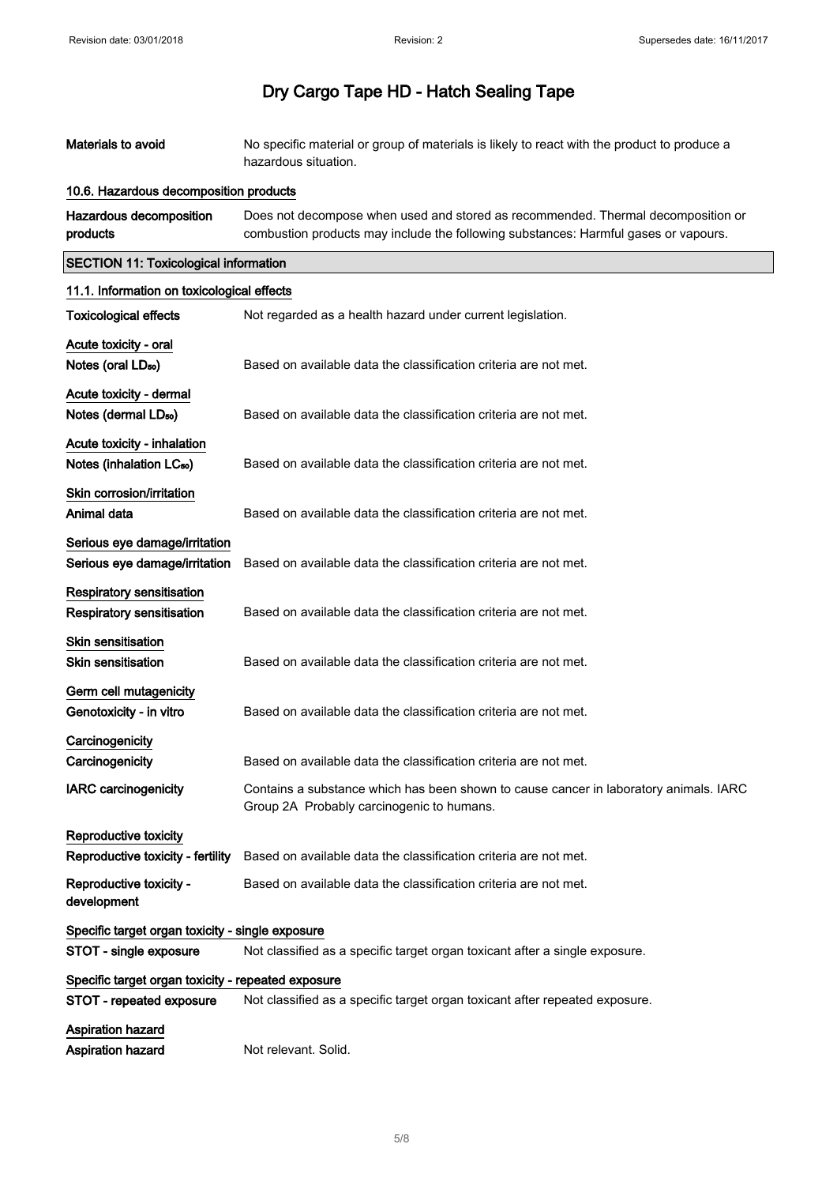$\overline{\phantom{a}}$ 

# Dry Cargo Tape HD - Hatch Sealing Tape

| Materials to avoid                                                   | No specific material or group of materials is likely to react with the product to produce a<br>hazardous situation.                                                     |  |
|----------------------------------------------------------------------|-------------------------------------------------------------------------------------------------------------------------------------------------------------------------|--|
| 10.6. Hazardous decomposition products                               |                                                                                                                                                                         |  |
| Hazardous decomposition<br>products                                  | Does not decompose when used and stored as recommended. Thermal decomposition or<br>combustion products may include the following substances: Harmful gases or vapours. |  |
| <b>SECTION 11: Toxicological information</b>                         |                                                                                                                                                                         |  |
| 11.1. Information on toxicological effects                           |                                                                                                                                                                         |  |
| <b>Toxicological effects</b>                                         | Not regarded as a health hazard under current legislation.                                                                                                              |  |
| Acute toxicity - oral<br>Notes (oral LD <sub>50</sub> )              | Based on available data the classification criteria are not met.                                                                                                        |  |
| Acute toxicity - dermal<br>Notes (dermal LD <sub>50</sub> )          | Based on available data the classification criteria are not met.                                                                                                        |  |
| Acute toxicity - inhalation<br>Notes (inhalation LC <sub>50</sub> )  | Based on available data the classification criteria are not met.                                                                                                        |  |
| Skin corrosion/irritation<br>Animal data                             | Based on available data the classification criteria are not met.                                                                                                        |  |
| Serious eye damage/irritation<br>Serious eye damage/irritation       | Based on available data the classification criteria are not met.                                                                                                        |  |
| <b>Respiratory sensitisation</b><br><b>Respiratory sensitisation</b> | Based on available data the classification criteria are not met.                                                                                                        |  |
| Skin sensitisation<br><b>Skin sensitisation</b>                      | Based on available data the classification criteria are not met.                                                                                                        |  |
| Germ cell mutagenicity<br>Genotoxicity - in vitro                    | Based on available data the classification criteria are not met.                                                                                                        |  |
| Carcinogenicity<br>Carcinogenicity                                   | Based on available data the classification criteria are not met.                                                                                                        |  |
| <b>IARC</b> carcinogenicity                                          | Contains a substance which has been shown to cause cancer in laboratory animals. IARC<br>Group 2A Probably carcinogenic to humans.                                      |  |
| Reproductive toxicity                                                |                                                                                                                                                                         |  |
| Reproductive toxicity - fertility                                    | Based on available data the classification criteria are not met.                                                                                                        |  |
| Reproductive toxicity -<br>development                               | Based on available data the classification criteria are not met.                                                                                                        |  |
| Specific target organ toxicity - single exposure                     |                                                                                                                                                                         |  |
| STOT - single exposure                                               | Not classified as a specific target organ toxicant after a single exposure.                                                                                             |  |
| Specific target organ toxicity - repeated exposure                   |                                                                                                                                                                         |  |
| STOT - repeated exposure                                             | Not classified as a specific target organ toxicant after repeated exposure.                                                                                             |  |
| <b>Aspiration hazard</b><br>Aspiration hazard                        | Not relevant. Solid.                                                                                                                                                    |  |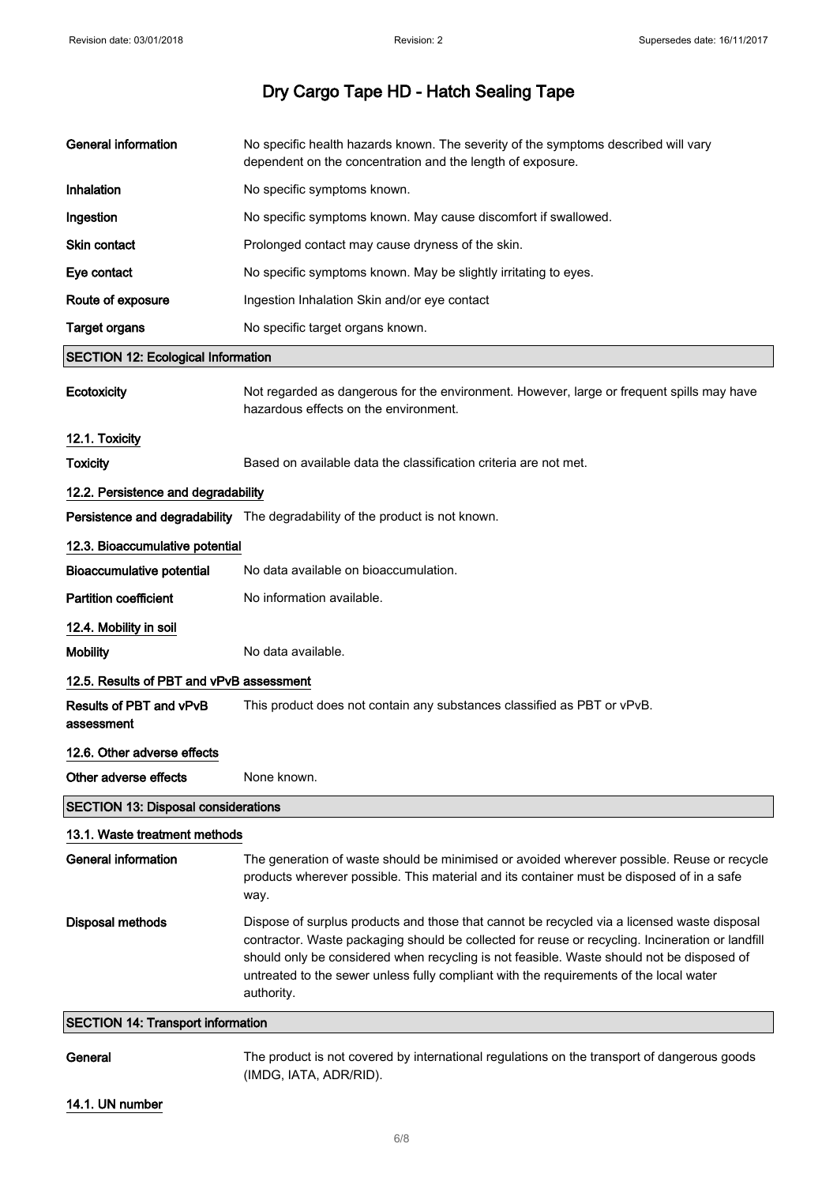| General information                        | No specific health hazards known. The severity of the symptoms described will vary<br>dependent on the concentration and the length of exposure.                                                                                                                                                                                                                                                     |  |
|--------------------------------------------|------------------------------------------------------------------------------------------------------------------------------------------------------------------------------------------------------------------------------------------------------------------------------------------------------------------------------------------------------------------------------------------------------|--|
| Inhalation                                 | No specific symptoms known.                                                                                                                                                                                                                                                                                                                                                                          |  |
| Ingestion                                  | No specific symptoms known. May cause discomfort if swallowed.                                                                                                                                                                                                                                                                                                                                       |  |
| <b>Skin contact</b>                        | Prolonged contact may cause dryness of the skin.                                                                                                                                                                                                                                                                                                                                                     |  |
| Eye contact                                | No specific symptoms known. May be slightly irritating to eyes.                                                                                                                                                                                                                                                                                                                                      |  |
| Route of exposure                          | Ingestion Inhalation Skin and/or eye contact                                                                                                                                                                                                                                                                                                                                                         |  |
| <b>Target organs</b>                       | No specific target organs known.                                                                                                                                                                                                                                                                                                                                                                     |  |
| <b>SECTION 12: Ecological Information</b>  |                                                                                                                                                                                                                                                                                                                                                                                                      |  |
| Ecotoxicity                                | Not regarded as dangerous for the environment. However, large or frequent spills may have<br>hazardous effects on the environment.                                                                                                                                                                                                                                                                   |  |
| 12.1. Toxicity                             |                                                                                                                                                                                                                                                                                                                                                                                                      |  |
| <b>Toxicity</b>                            | Based on available data the classification criteria are not met.                                                                                                                                                                                                                                                                                                                                     |  |
| 12.2. Persistence and degradability        |                                                                                                                                                                                                                                                                                                                                                                                                      |  |
|                                            | Persistence and degradability The degradability of the product is not known.                                                                                                                                                                                                                                                                                                                         |  |
| 12.3. Bioaccumulative potential            |                                                                                                                                                                                                                                                                                                                                                                                                      |  |
| <b>Bioaccumulative potential</b>           | No data available on bioaccumulation.                                                                                                                                                                                                                                                                                                                                                                |  |
| <b>Partition coefficient</b>               | No information available.                                                                                                                                                                                                                                                                                                                                                                            |  |
| 12.4. Mobility in soil                     |                                                                                                                                                                                                                                                                                                                                                                                                      |  |
| <b>Mobility</b>                            | No data available.                                                                                                                                                                                                                                                                                                                                                                                   |  |
| 12.5. Results of PBT and vPvB assessment   |                                                                                                                                                                                                                                                                                                                                                                                                      |  |
| Results of PBT and vPvB<br>assessment      | This product does not contain any substances classified as PBT or vPvB.                                                                                                                                                                                                                                                                                                                              |  |
| 12.6. Other adverse effects                |                                                                                                                                                                                                                                                                                                                                                                                                      |  |
| Other adverse effects                      | None known.                                                                                                                                                                                                                                                                                                                                                                                          |  |
| <b>SECTION 13: Disposal considerations</b> |                                                                                                                                                                                                                                                                                                                                                                                                      |  |
| 13.1. Waste treatment methods              |                                                                                                                                                                                                                                                                                                                                                                                                      |  |
| <b>General information</b>                 | The generation of waste should be minimised or avoided wherever possible. Reuse or recycle<br>products wherever possible. This material and its container must be disposed of in a safe<br>way.                                                                                                                                                                                                      |  |
| <b>Disposal methods</b>                    | Dispose of surplus products and those that cannot be recycled via a licensed waste disposal<br>contractor. Waste packaging should be collected for reuse or recycling. Incineration or landfill<br>should only be considered when recycling is not feasible. Waste should not be disposed of<br>untreated to the sewer unless fully compliant with the requirements of the local water<br>authority. |  |
| <b>SECTION 14: Transport information</b>   |                                                                                                                                                                                                                                                                                                                                                                                                      |  |
| General                                    | The product is not covered by international regulations on the transport of dangerous goods<br>(IMDG, IATA, ADR/RID).                                                                                                                                                                                                                                                                                |  |

14.1. UN number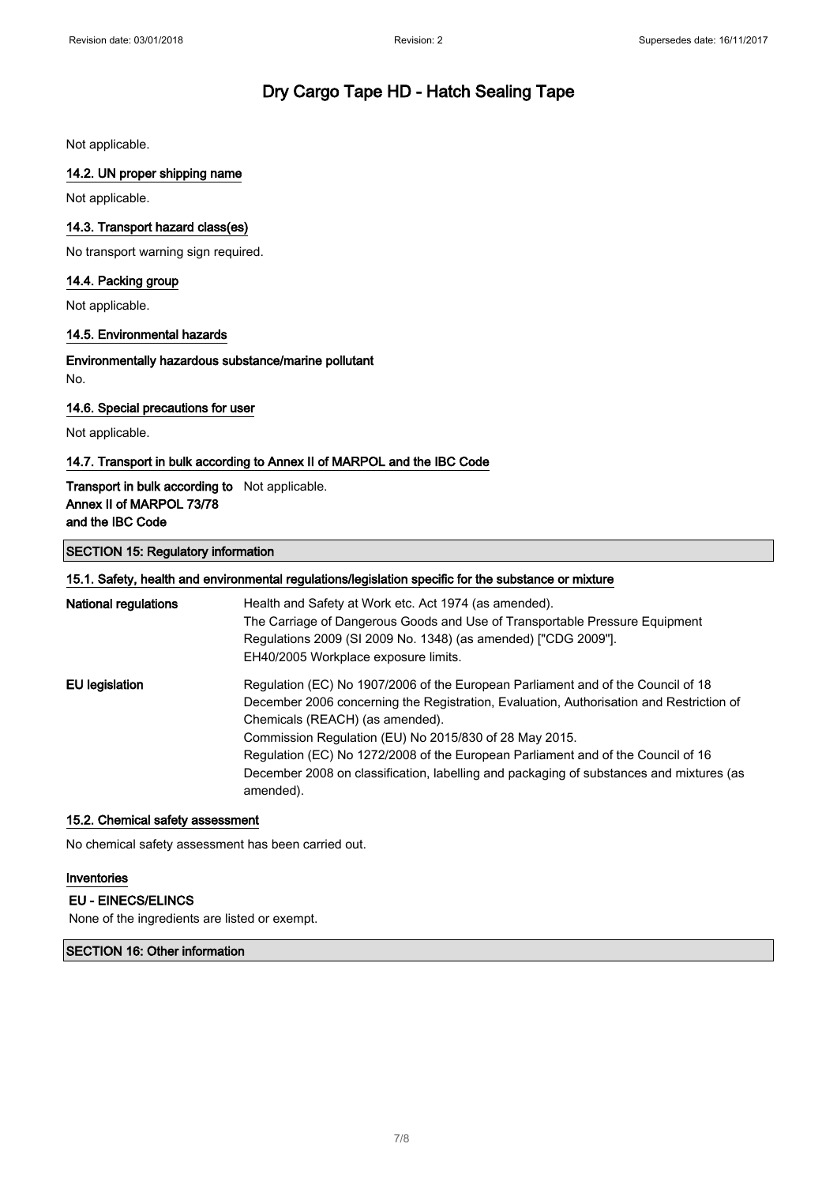Not applicable.

#### 14.2. UN proper shipping name

Not applicable.

#### 14.3. Transport hazard class(es)

No transport warning sign required.

#### 14.4. Packing group

Not applicable.

#### 14.5. Environmental hazards

Environmentally hazardous substance/marine pollutant No.

#### 14.6. Special precautions for user

Not applicable.

#### 14.7. Transport in bulk according to Annex II of MARPOL and the IBC Code

#### Transport in bulk according to Not applicable. Annex II of MARPOL 73/78 and the IBC Code

#### SECTION 15: Regulatory information

|                       | 15.1. Safety, health and environmental regulations/legislation specific for the substance or mixture |
|-----------------------|------------------------------------------------------------------------------------------------------|
| National regulations  | Health and Safety at Work etc. Act 1974 (as amended).                                                |
|                       | The Carriage of Dangerous Goods and Use of Transportable Pressure Equipment                          |
|                       | Regulations 2009 (SI 2009 No. 1348) (as amended) ["CDG 2009"].                                       |
|                       | EH40/2005 Workplace exposure limits.                                                                 |
| <b>EU</b> legislation | Regulation (EC) No 1907/2006 of the European Parliament and of the Council of 18                     |
|                       | December 2006 concerning the Registration, Evaluation, Authorisation and Restriction of              |
|                       | Chemicals (REACH) (as amended).                                                                      |
|                       | Commission Regulation (EU) No 2015/830 of 28 May 2015.                                               |
|                       | Regulation (EC) No 1272/2008 of the European Parliament and of the Council of 16                     |
|                       | December 2008 on classification, labelling and packaging of substances and mixtures (as<br>amended). |

#### 15.2. Chemical safety assessment

No chemical safety assessment has been carried out.

#### Inventories

EU - EINECS/ELINCS None of the ingredients are listed or exempt.

SECTION 16: Other information